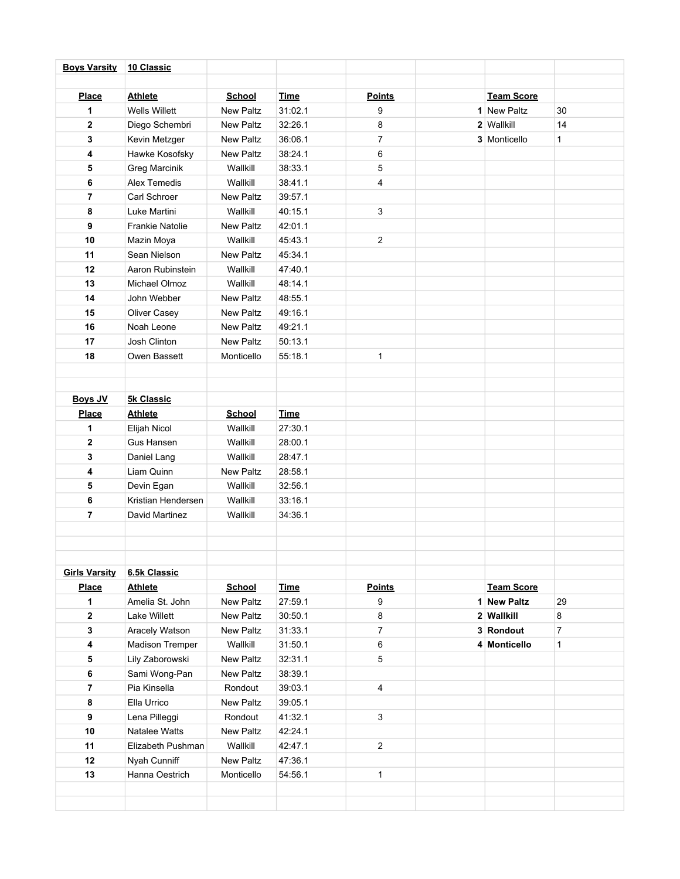| <b>Boys Varsity</b>     | 10 Classic             |                  |             |                |                   |                |
|-------------------------|------------------------|------------------|-------------|----------------|-------------------|----------------|
|                         |                        |                  |             |                |                   |                |
| <b>Place</b>            | <b>Athlete</b>         | <b>School</b>    | <b>Time</b> | <b>Points</b>  | <b>Team Score</b> |                |
| 1                       | <b>Wells Willett</b>   | <b>New Paltz</b> | 31:02.1     | 9              | 1 New Paltz       | 30             |
| $\mathbf 2$             | Diego Schembri         | <b>New Paltz</b> | 32:26.1     | 8              | 2 Wallkill        | 14             |
| 3                       | Kevin Metzger          | New Paltz        | 36:06.1     | $\overline{7}$ | 3 Monticello      | $\mathbf{1}$   |
| 4                       | Hawke Kosofsky         | <b>New Paltz</b> | 38:24.1     | 6              |                   |                |
| 5                       | Greg Marcinik          | Wallkill         | 38:33.1     | 5              |                   |                |
| 6                       | Alex Temedis           | Wallkill         | 38:41.1     | $\overline{4}$ |                   |                |
| $\overline{\mathbf{r}}$ | Carl Schroer           | <b>New Paltz</b> | 39:57.1     |                |                   |                |
| 8                       | Luke Martini           | Wallkill         | 40:15.1     | $\mathbf{3}$   |                   |                |
| 9                       | Frankie Natolie        | New Paltz        | 42:01.1     |                |                   |                |
| 10                      | Mazin Moya             | Wallkill         | 45:43.1     | $\overline{2}$ |                   |                |
| 11                      | Sean Nielson           | New Paltz        | 45:34.1     |                |                   |                |
| 12                      | Aaron Rubinstein       | Wallkill         | 47:40.1     |                |                   |                |
| 13                      | Michael Olmoz          | Wallkill         | 48:14.1     |                |                   |                |
| 14                      | John Webber            | <b>New Paltz</b> | 48:55.1     |                |                   |                |
| 15                      | Oliver Casey           | New Paltz        | 49:16.1     |                |                   |                |
| 16                      | Noah Leone             | <b>New Paltz</b> | 49:21.1     |                |                   |                |
| 17                      | Josh Clinton           | <b>New Paltz</b> | 50:13.1     |                |                   |                |
| 18                      | Owen Bassett           | Monticello       | 55:18.1     | $\mathbf{1}$   |                   |                |
|                         |                        |                  |             |                |                   |                |
|                         |                        |                  |             |                |                   |                |
| <b>Boys JV</b>          | <b>5k Classic</b>      |                  |             |                |                   |                |
| <b>Place</b>            | <b>Athlete</b>         | <b>School</b>    | <b>Time</b> |                |                   |                |
| 1                       | Elijah Nicol           | Wallkill         | 27:30.1     |                |                   |                |
| $\overline{\mathbf{2}}$ | Gus Hansen             | Wallkill         | 28:00.1     |                |                   |                |
| 3                       | Daniel Lang            | Wallkill         | 28:47.1     |                |                   |                |
| 4                       | Liam Quinn             | <b>New Paltz</b> | 28:58.1     |                |                   |                |
| 5                       | Devin Egan             | Wallkill         | 32:56.1     |                |                   |                |
| 6                       | Kristian Hendersen     | Wallkill         | 33:16.1     |                |                   |                |
| $\overline{\mathbf{r}}$ | David Martinez         | Wallkill         | 34:36.1     |                |                   |                |
|                         |                        |                  |             |                |                   |                |
|                         |                        |                  |             |                |                   |                |
|                         |                        |                  |             |                |                   |                |
| <b>Girls Varsity</b>    | 6.5k Classic           |                  |             |                |                   |                |
| <b>Place</b>            | <b>Athlete</b>         | <b>School</b>    | <b>Time</b> | <b>Points</b>  | <b>Team Score</b> |                |
| 1                       | Amelia St. John        | New Paltz        | 27:59.1     | 9              | 1 New Paltz       | 29             |
| 2                       | <b>Lake Willett</b>    | New Paltz        | 30:50.1     | 8              | 2 Wallkill        | 8              |
| 3                       | Aracely Watson         | New Paltz        | 31:33.1     | $\overline{7}$ | 3 Rondout         | $\overline{7}$ |
| 4                       | <b>Madison Tremper</b> | Wallkill         | 31:50.1     | 6              | 4 Monticello      | $\mathbf{1}$   |
| 5                       | Lily Zaborowski        | New Paltz        | 32:31.1     | $\,$ 5 $\,$    |                   |                |
| 6                       | Sami Wong-Pan          | New Paltz        | 38:39.1     |                |                   |                |
| 7                       | Pia Kinsella           | Rondout          | 39:03.1     | $\overline{4}$ |                   |                |
| 8                       | Ella Urrico            | New Paltz        | 39:05.1     |                |                   |                |
| 9                       | Lena Pilleggi          | Rondout          | 41:32.1     | 3              |                   |                |
| $10$                    | Natalee Watts          | New Paltz        | 42:24.1     |                |                   |                |
| 11                      | Elizabeth Pushman      | Wallkill         | 42:47.1     | $\overline{2}$ |                   |                |
| 12                      | Nyah Cunniff           | New Paltz        | 47:36.1     |                |                   |                |
| 13                      | Hanna Oestrich         | Monticello       | 54:56.1     | $\mathbf{1}$   |                   |                |
|                         |                        |                  |             |                |                   |                |
|                         |                        |                  |             |                |                   |                |